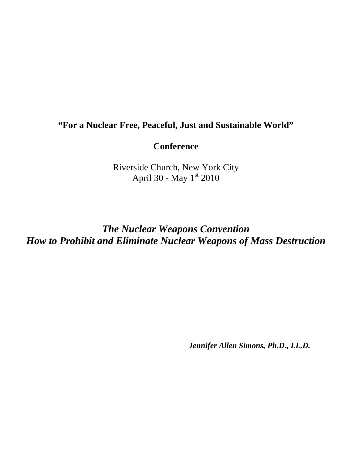## **"For a Nuclear Free, Peaceful, Just and Sustainable World"**

## **Conference**

Riverside Church, New York City April 30 - May 1st 2010

*The Nuclear Weapons Convention How to Prohibit and Eliminate Nuclear Weapons of Mass Destruction* 

*Jennifer Allen Simons, Ph.D., LL.D.*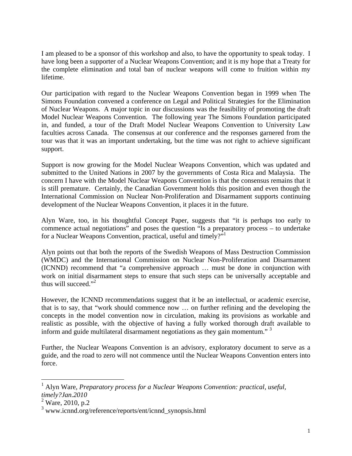I am pleased to be a sponsor of this workshop and also, to have the opportunity to speak today. I have long been a supporter of a Nuclear Weapons Convention; and it is my hope that a Treaty for the complete elimination and total ban of nuclear weapons will come to fruition within my lifetime.

Our participation with regard to the Nuclear Weapons Convention began in 1999 when The Simons Foundation convened a conference on Legal and Political Strategies for the Elimination of Nuclear Weapons. A major topic in our discussions was the feasibility of promoting the draft Model Nuclear Weapons Convention. The following year The Simons Foundation participated in, and funded, a tour of the Draft Model Nuclear Weapons Convention to University Law faculties across Canada. The consensus at our conference and the responses garnered from the tour was that it was an important undertaking, but the time was not right to achieve significant support.

Support is now growing for the Model Nuclear Weapons Convention, which was updated and submitted to the United Nations in 2007 by the governments of Costa Rica and Malaysia. The concern I have with the Model Nuclear Weapons Convention is that the consensus remains that it is still premature. Certainly, the Canadian Government holds this position and even though the International Commission on Nuclear Non-Proliferation and Disarmament supports continuing development of the Nuclear Weapons Convention, it places it in the future.

Alyn Ware, too, in his thoughtful Concept Paper, suggests that "it is perhaps too early to commence actual negotiations" and poses the question "Is a preparatory process – to undertake for a Nuclear Weapons Convention, practical, useful and timely?"

Alyn points out that both the reports of the Swedish Weapons of Mass Destruction Commission (WMDC) and the International Commission on Nuclear Non-Proliferation and Disarmament (ICNND) recommend that "a comprehensive approach … must be done in conjunction with work on initial disarmament steps to ensure that such steps can be universally acceptable and thus will succeed."<sup>2</sup>

However, the ICNND recommendations suggest that it be an intellectual, or academic exercise, that is to say, that "work should commence now … on further refining and the developing the concepts in the model convention now in circulation, making its provisions as workable and realistic as possible, with the objective of having a fully worked thorough draft available to inform and guide multilateral disarmament negotiations as they gain momentum."<sup>3</sup>

Further, the Nuclear Weapons Convention is an advisory, exploratory document to serve as a guide, and the road to zero will not commence until the Nuclear Weapons Convention enters into force.

 $\overline{a}$ 

<sup>&</sup>lt;sup>1</sup> Alyn Ware, *Preparatory process for a Nuclear Weapons Convention: practical, useful, timely?Jan.2010* 

 $2^{\circ}$  Ware, 2010, p.2

<sup>3</sup> www.icnnd.org/reference/reports/ent/icnnd\_synopsis.html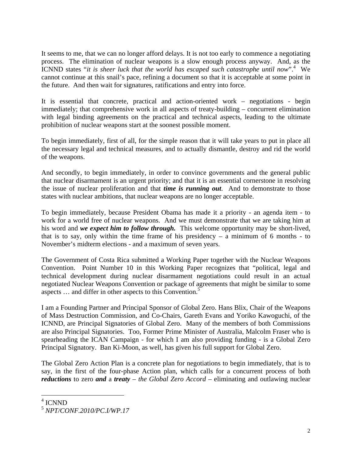It seems to me, that we can no longer afford delays. It is not too early to commence a negotiating process. The elimination of nuclear weapons is a slow enough process anyway. And, as the ICNND states "*it is sheer luck that the world has escaped such catastrophe until now*".4 We cannot continue at this snail's pace, refining a document so that it is acceptable at some point in the future. And then wait for signatures, ratifications and entry into force.

It is essential that concrete, practical and action-oriented work – negotiations - begin immediately; that comprehensive work in all aspects of treaty-building – concurrent elimination with legal binding agreements on the practical and technical aspects, leading to the ultimate prohibition of nuclear weapons start at the soonest possible moment.

To begin immediately, first of all, for the simple reason that it will take years to put in place all the necessary legal and technical measures, and to actually dismantle, destroy and rid the world of the weapons.

And secondly, to begin immediately, in order to convince governments and the general public that nuclear disarmament is an urgent priority; and that it is an essential cornerstone in resolving the issue of nuclear proliferation and that *time is running out*. And to demonstrate to those states with nuclear ambitions, that nuclear weapons are no longer acceptable.

To begin immediately, because President Obama has made it a priority - an agenda item - to work for a world free of nuclear weapons. And we must demonstrate that we are taking him at his word and *we expect him to follow through.* This welcome opportunity may be short-lived, that is to say, only within the time frame of his presidency  $-$  a minimum of 6 months  $-$  to November's midterm elections - and a maximum of seven years.

The Government of Costa Rica submitted a Working Paper together with the Nuclear Weapons Convention. Point Number 10 in this Working Paper recognizes that "political, legal and technical development during nuclear disarmament negotiations could result in an actual negotiated Nuclear Weapons Convention or package of agreements that might be similar to some aspects ... and differ in other aspects to this Convention.<sup>5</sup>

I am a Founding Partner and Principal Sponsor of Global Zero. Hans Blix, Chair of the Weapons of Mass Destruction Commission, and Co-Chairs, Gareth Evans and Yoriko Kawoguchi, of the ICNND, are Principal Signatories of Global Zero. Many of the members of both Commissions are also Principal Signatories. Too, Former Prime Minister of Australia, Malcolm Fraser who is spearheading the ICAN Campaign - for which I am also providing funding - is a Global Zero Principal Signatory. Ban Ki-Moon, as well, has given his full support for Global Zero.

The Global Zero Action Plan is a concrete plan for negotiations to begin immediately, that is to say, in the first of the four-phase Action plan, which calls for a concurrent process of both *reductions* to zero *and* a *treaty – the Global Zero Accord –* eliminating and outlawing nuclear

 $\overline{a}$ 

<sup>&</sup>lt;sup>4</sup> ICNND

<sup>5</sup> *NPT/CONF.2010/PC.I/WP.17*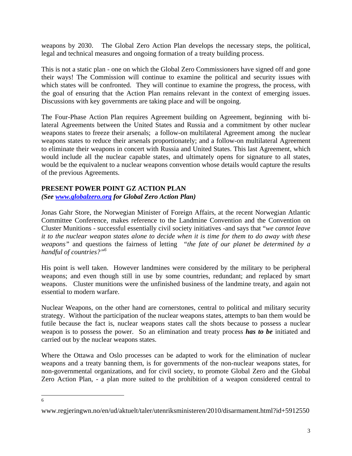weapons by 2030. The Global Zero Action Plan develops the necessary steps, the political, legal and technical measures and ongoing formation of a treaty building process.

This is not a static plan - one on which the Global Zero Commissioners have signed off and gone their ways! The Commission will continue to examine the political and security issues with which states will be confronted. They will continue to examine the progress, the process, with the goal of ensuring that the Action Plan remains relevant in the context of emerging issues. Discussions with key governments are taking place and will be ongoing.

The Four-Phase Action Plan requires Agreement building on Agreement, beginning with bilateral Agreements between the United States and Russia and a commitment by other nuclear weapons states to freeze their arsenals; a follow-on multilateral Agreement among the nuclear weapons states to reduce their arsenals proportionately; and a follow-on multilateral Agreement to eliminate their weapons in concert with Russia and United States. This last Agreement, which would include all the nuclear capable states, and ultimately opens for signature to all states, would be the equivalent to a nuclear weapons convention whose details would capture the results of the previous Agreements.

## **PRESENT POWER POINT GZ ACTION PLAN**  *(See www.globalzero.org for Global Zero Action Plan)*

Jonas Gahr Store, the Norwegian Minister of Foreign Affairs, at the recent Norwegian Atlantic Committee Conference, makes reference to the Landmine Convention and the Convention on Cluster Munitions - successful essentially civil society initiatives -and says that "*we cannot leave it to the nuclear weapon states alone to decide when it is time for them to do away with these weapons"* and questions the fairness of letting *"the fate of our planet be determined by a handful of countries?"6*

His point is well taken. However landmines were considered by the military to be peripheral weapons; and even though still in use by some countries, redundant; and replaced by smart weapons. Cluster munitions were the unfinished business of the landmine treaty, and again not essential to modern warfare.

Nuclear Weapons, on the other hand are cornerstones, central to political and military security strategy. Without the participation of the nuclear weapons states, attempts to ban them would be futile because the fact is, nuclear weapons states call the shots because to possess a nuclear weapon is to possess the power. So an elimination and treaty process *has to be* initiated and carried out by the nuclear weapons states.

Where the Ottawa and Oslo processes can be adapted to work for the elimination of nuclear weapons and a treaty banning them, is for governments of the non-nuclear weapons states, for non-governmental organizations, and for civil society, to promote Global Zero and the Global Zero Action Plan, - a plan more suited to the prohibition of a weapon considered central to

 6

www.regjeringwn.no/en/ud/aktuelt/taler/utenriksministeren/2010/disarmament.html?id+5912550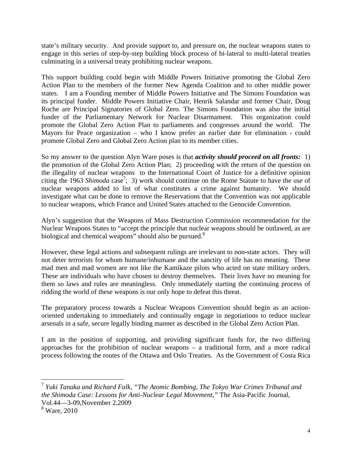state's military security. And provide support to, and pressure on, the nuclear weapons states to engage in this series of step-by-step building block process of bi-lateral to multi-lateral treaties culminating in a universal treaty prohibiting nuclear weapons.

This support building could begin with Middle Powers Initiative promoting the Global Zero Action Plan to the members of the former New Agenda Coalition and to other middle power states. I am a Founding member of Middle Powers Initiative and The Simons Foundation was its principal funder. Middle Powers Initiative Chair, Henrik Salandar and former Chair, Doug Roche are Principal Signatories of Global Zero. The Simons Foundation was also the initial funder of the Parliamentary Network for Nuclear Disarmament. This organization could promote the Global Zero Action Plan to parliaments and congresses around the world. The Mayors for Peace organization – who I know prefer an earlier date for elimination - could promote Global Zero and Global Zero Action plan to its member cities.

So my answer to the question Alyn Ware poses is that *activity should proceed on all fronts:* 1) the promotion of the Global Zero Action Plan; 2) proceeding with the return of the question on the illegality of nuclear weapons to the International Court of Justice for a definitive opinion citing the 1963 *Shimoda* case<sup>7</sup>; 3) work should continue on the Rome Statute to have the use of nuclear weapons added to list of what constitutes a crime against humanity. We should investigate what can be done to remove the Reservations that the Convention was not applicable to nuclear weapons, which France and United States attached to the Genocide Convention.

Alyn's suggestion that the Weapons of Mass Destruction Commission recommendation for the Nuclear Weapons States to "accept the principle that nuclear weapons should be outlawed, as are biological and chemical weapons" should also be pursued.<sup>8</sup>

However, these legal actions and subsequent rulings are irrelevant to non-state actors. They will not deter terrorists for whom humane/inhumane and the sanctity of life has no meaning. These mad men and mad women are not like the Kamikaze pilots who acted on state military orders. These are individuals who have chosen to destroy themselves. Their lives have no meaning for them so laws and rules are meaningless. Only immediately starting the continuing process of ridding the world of these weapons is our only hope to defeat this threat.

The preparatory process towards a Nuclear Weapons Convention should begin as an actionoriented undertaking to immediately and continually engage in negotiations to reduce nuclear arsenals in a safe, secure legally binding manner as described in the Global Zero Action Plan.

I am in the position of supporting, and providing significant funds for, the two differing approaches for the prohibition of nuclear weapons – a traditional form, and a more radical process following the routes of the Ottawa and Oslo Treaties. As the Government of Costa Rica

<sup>1</sup> <sup>7</sup> *Yuki Tanaka and Richard Falk, "The Atomic Bombing, The Tokyo War Crimes Tribunal and the Shimoda Case: Lessons for Anti-Nuclear Legal Movement,"* The Asia-Pacific Journal, Vol.44—3-09,November 2,2009

<sup>8</sup> Ware, 2010